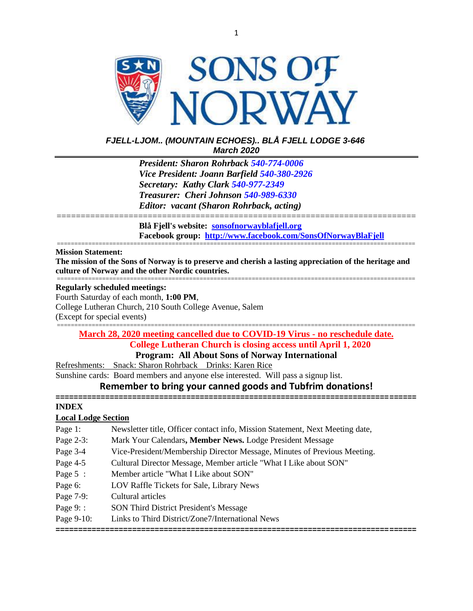

# *FJELL-LJOM.. (MOUNTAIN ECHOES).. BLÅ FJELL LODGE 3-646 March 2020*

*President: Sharon Rohrback [540-774-0006](tel:540-977-2349) Vice President: Joann Barfield [540-380-2926](tel:540-977-2349) Secretary: Kathy Clark [540-977-2349](tel:540-977-2349) Treasurer: Cheri Johnson [540-989-6330](tel:540-774-0006) Editor: vacant (Sharon Rohrback, acting)*

=========================================================================== **Blå Fjell's website: [sonsofnorwayblafjell.org](http://222.sonsofnorwayblafjell.org/) Facebook group: <http://www.facebook.com/SonsOfNorwayBlaFjell>**

#### ======================================================================================================= **Mission Statement:**

**The mission of the Sons of Norway is to preserve and cherish a lasting appreciation of the heritage and culture of Norway and the other Nordic countries.** =======================================================================================================

#### **Regularly scheduled meetings:**

Fourth Saturday of each month, **1:00 PM**, College Lutheran Church, 210 South College Avenue, Salem (Except for special events)

### ======================================================================================================= **March 28, 2020 meeting cancelled due to COVID-19 Virus - no reschedule date. College Lutheran Church is closing access until April 1, 2020**

**Program: All About Sons of Norway International**

Refreshments: Snack: Sharon Rohrback Drinks: Karen Rice

Sunshine cards: Board members and anyone else interested. Will pass a signup list.

# **Remember to bring your canned goods and Tubfrim donations!**

**================================================================================**

**INDEX**

# **Local Lodge Section**

- Page 1: Newsletter title, Officer contact info, Mission Statement, Next Meeting date,
- Page 2-3: Mark Your Calendars**, Member News.** Lodge President Message
- Page 3-4 Vice-President/Membership Director Message, Minutes of Previous Meeting.
- Page 4-5 Cultural Director Message, Member article "What I Like about SON"
- Page 5 : Member article "What I Like about SON"
- Page 6: LOV Raffle Tickets for Sale, Library News
- Page 7-9: Cultural articles
- Page 9: : SON Third District President's Message

### Page 9-10: Links to Third District/Zone7/International News

**================================================================================**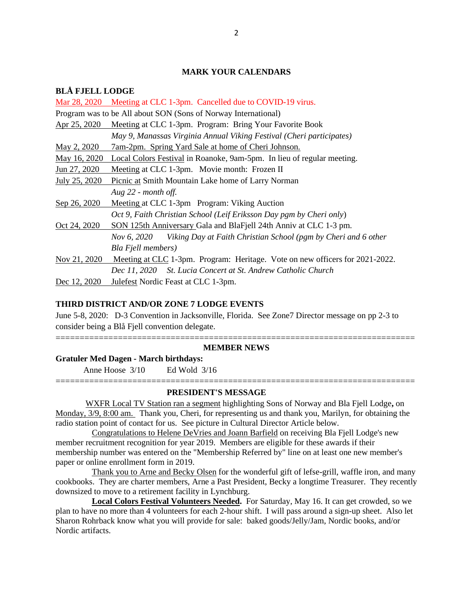### **MARK YOUR CALENDARS**

# **BLÅ FJELL LODGE**  Mar 28, 2020 Meeting at CLC 1-3pm. Cancelled due to COVID-19 virus. Program was to be All about SON (Sons of Norway International) Apr 25, 2020 Meeting at CLC 1-3pm. Program: Bring Your Favorite Book *May 9, Manassas Virginia Annual Viking Festival (Cheri participates)* May 2, 2020 7am-2pm. Spring Yard Sale at home of Cheri Johnson. May 16, 2020 Local Colors Festival in Roanoke, 9am-5pm. In lieu of regular meeting. Jun 27, 2020 Meeting at CLC 1-3pm. Movie month: Frozen II July 25, 2020 Picnic at Smith Mountain Lake home of Larry Norman *Aug 22 - month off.* Sep 26, 2020 Meeting at CLC 1-3pm Program: Viking Auction *Oct 9, Faith Christian School (Leif Eriksson Day pgm by Cheri only*) Oct 24, 2020 SON 125th Anniversary Gala and BlaFjell 24th Anniv at CLC 1-3 pm. *Nov 6, 2020 Viking Day at Faith Christian School (pgm by Cheri and 6 other Bla Fjell members)* Nov 21, 2020 Meeting at CLC 1-3pm. Program: Heritage. Vote on new officers for 2021-2022. *Dec 11, 2020 St. Lucia Concert at St. Andrew Catholic Church* Dec 12, 2020 Julefest Nordic Feast at CLC 1-3pm.

# **THIRD DISTRICT AND/OR ZONE 7 LODGE EVENTS**

June 5-8, 2020: D-3 Convention in Jacksonville, Florida. See Zone7 Director message on pp 2-3 to consider being a Blå Fjell convention delegate.

### =========================================================================== **MEMBER NEWS**

===========================================================================

### **Gratuler Med Dagen - March birthdays:**

Anne Hoose 3/10 Ed Wold 3/16

### **PRESIDENT'S MESSAGE**

WXFR Local TV Station ran a segment highlighting Sons of Norway and Bla Fjell Lodge**,** on Monday, 3/9, 8:00 am. Thank you, Cheri, for representing us and thank you, Marilyn, for obtaining the radio station point of contact for us. See picture in Cultural Director Article below.

Congratulations to Helene DeVries and Joann Barfield on receiving Bla Fjell Lodge's new member recruitment recognition for year 2019. Members are eligible for these awards if their membership number was entered on the "Membership Referred by" line on at least one new member's paper or online enrollment form in 2019.

Thank you to Arne and Becky Olsen for the wonderful gift of lefse-grill, waffle iron, and many cookbooks. They are charter members, Arne a Past President, Becky a longtime Treasurer. They recently downsized to move to a retirement facility in Lynchburg.

**Local Colors Festival Volunteers Needed.** For Saturday, May 16. It can get crowded, so we plan to have no more than 4 volunteers for each 2-hour shift. I will pass around a sign-up sheet. Also let Sharon Rohrback know what you will provide for sale: baked goods/Jelly/Jam, Nordic books, and/or Nordic artifacts.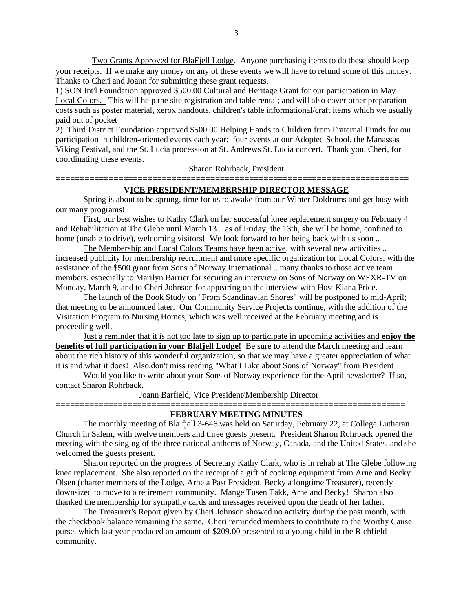Two Grants Approved for BlaFjell Lodge. Anyone purchasing items to do these should keep your receipts. If we make any money on any of these events we will have to refund some of this money. Thanks to Cheri and Joann for submitting these grant requests.

1) SON Int'l Foundation approved \$500.00 Cultural and Heritage Grant for our participation in May Local Colors. This will help the site registration and table rental; and will also cover other preparation costs such as poster material, xerox handouts, children's table informational/craft items which we usually paid out of pocket

2) Third District Foundation approved \$500.00 Helping Hands to Children from Fraternal Funds for our participation in children-oriented events each year: four events at our Adopted School, the Manassas Viking Festival, and the St. Lucia procession at St. Andrews St. Lucia concert. Thank you, Cheri, for coordinating these events.

Sharon Rohrback, President **=========================================================================**

#### **VICE PRESIDENT/MEMBERSHIP DIRECTOR MESSAGE**

Spring is about to be sprung. time for us to awake from our Winter Doldrums and get busy with our many programs!

First, our best wishes to Kathy Clark on her successful knee replacement surgery on February 4 and Rehabilitation at The Glebe until March 13 .. as of Friday, the 13th, she will be home, confined to home (unable to drive), welcoming visitors! We look forward to her being back with us soon ..

The Membership and Local Colors Teams have been active, with several new activities .. increased publicity for membership recruitment and more specific organization for Local Colors, with the assistance of the \$500 grant from Sons of Norway International .. many thanks to those active team members, especially to Marilyn Barrier for securing an interview on Sons of Norway on WFXR-TV on Monday, March 9, and to Cheri Johnson for appearing on the interview with Host Kiana Price.

The launch of the Book Study on "From Scandinavian Shores" will be postponed to mid-April; that meeting to be announced later. Our Community Service Projects continue, with the addition of the Visitation Program to Nursing Homes, which was well received at the February meeting and is proceeding well.

Just a reminder that it is not too late to sign up to participate in upcoming activities and **enjoy the benefits of full participation in your Blafjell Lodge!** Be sure to attend the March meeting and learn about the rich history of this wonderful organization, so that we may have a greater appreciation of what it is and what it does! Also,don't miss reading "What I Like about Sons of Norway" from President

Would you like to write about your Sons of Norway experience for the April newsletter? If so, contact Sharon Rohrback.

Joann Barfield, Vice President/Membership Director =========================================================================

#### **FEBRUARY MEETING MINUTES**

The monthly meeting of Bla fjell 3-646 was held on Saturday, February 22, at College Lutheran Church in Salem, with twelve members and three guests present. President Sharon Rohrback opened the meeting with the singing of the three national anthems of Norway, Canada, and the United States, and she welcomed the guests present.

Sharon reported on the progress of Secretary Kathy Clark, who is in rehab at The Glebe following knee replacement. She also reported on the receipt of a gift of cooking equipment from Arne and Becky Olsen (charter members of the Lodge, Arne a Past President, Becky a longtime Treasurer), recently downsized to move to a retirement community. Mange Tusen Takk, Arne and Becky! Sharon also thanked the membership for sympathy cards and messages received upon the death of her father.

The Treasurer's Report given by Cheri Johnson showed no activity during the past month, with the checkbook balance remaining the same. Cheri reminded members to contribute to the Worthy Cause purse, which last year produced an amount of \$209.00 presented to a young child in the Richfield community.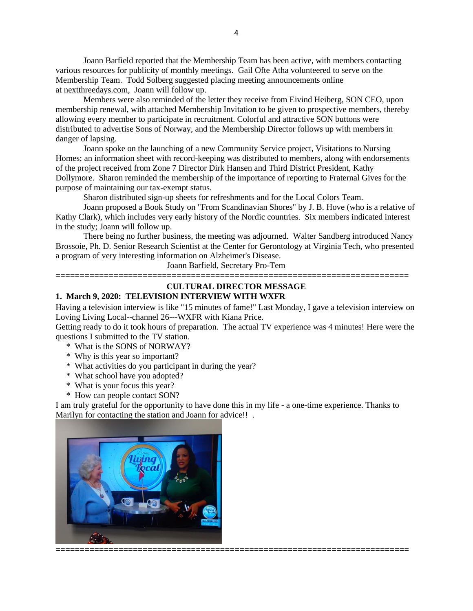Joann Barfield reported that the Membership Team has been active, with members contacting various resources for publicity of monthly meetings. Gail Ofte Atha volunteered to serve on the Membership Team. Todd Solberg suggested placing meeting announcements online at [nextthreedays.com,](http://nxthreedays.com/) Joann will follow up.

Members were also reminded of the letter they receive from Eivind Heiberg, SON CEO, upon membership renewal, with attached Membership Invitation to be given to prospective members, thereby allowing every member to participate in recruitment. Colorful and attractive SON buttons were distributed to advertise Sons of Norway, and the Membership Director follows up with members in danger of lapsing.

Joann spoke on the launching of a new Community Service project, Visitations to Nursing Homes; an information sheet with record-keeping was distributed to members, along with endorsements of the project received from Zone 7 Director Dirk Hansen and Third District President, Kathy Dollymore. Sharon reminded the membership of the importance of reporting to Fraternal Gives for the purpose of maintaining our tax-exempt status.

Sharon distributed sign-up sheets for refreshments and for the Local Colors Team.

Joann proposed a Book Study on "From Scandinavian Shores" by J. B. Hove (who is a relative of Kathy Clark), which includes very early history of the Nordic countries. Six members indicated interest in the study; Joann will follow up.

There being no further business, the meeting was adjourned. Walter Sandberg introduced Nancy Brossoie, Ph. D. Senior Research Scientist at the Center for Gerontology at Virginia Tech, who presented a program of very interesting information on Alzheimer's Disease.

Joann Barfield, Secretary Pro-Tem

**=========================================================================**

### **CULTURAL DIRECTOR MESSAGE 1. March 9, 2020: TELEVISION INTERVIEW WITH WXFR**

Having a television interview is like "15 minutes of fame!" Last Monday, I gave a television interview on Loving Living Local--channel 26---WXFR with Kiana Price.

Getting ready to do it took hours of preparation. The actual TV experience was 4 minutes! Here were the questions I submitted to the TV station.

- \* What is the SONS of NORWAY?
- \* Why is this year so important?
- \* What activities do you participant in during the year?
- \* What school have you adopted?
- \* What is your focus this year?
- \* How can people contact SON?

I am truly grateful for the opportunity to have done this in my life - a one-time experience. Thanks to Marilyn for contacting the station and Joann for advice!! .

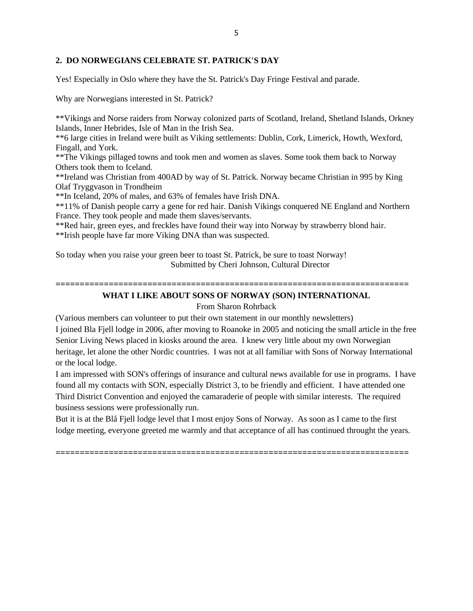### **2. DO NORWEGIANS CELEBRATE ST. PATRICK'S DAY**

Yes! Especially in Oslo where they have the St. Patrick's Day Fringe Festival and parade.

Why are Norwegians interested in St. Patrick?

\*\*Vikings and Norse raiders from Norway colonized parts of Scotland, Ireland, Shetland Islands, Orkney Islands, Inner Hebrides, Isle of Man in the Irish Sea.

\*\*6 large cities in Ireland were built as Viking settlements: Dublin, Cork, Limerick, Howth, Wexford, Fingall, and York.

\*\*The Vikings pillaged towns and took men and women as slaves. Some took them back to Norway Others took them to Iceland.

\*\*Ireland was Christian from 400AD by way of St. Patrick. Norway became Christian in 995 by King Olaf Tryggvason in Trondheim

\*\*In Iceland, 20% of males, and 63% of females have Irish DNA.

\*\*11% of Danish people carry a gene for red hair. Danish Vikings conquered NE England and Northern France. They took people and made them slaves/servants.

\*\*Red hair, green eyes, and freckles have found their way into Norway by strawberry blond hair. \*\*Irish people have far more Viking DNA than was suspected.

So today when you raise your green beer to toast St. Patrick, be sure to toast Norway! Submitted by Cheri Johnson, Cultural Director

# **========================================================================= WHAT I LIKE ABOUT SONS OF NORWAY (SON) INTERNATIONAL**

From Sharon Rohrback

(Various members can volunteer to put their own statement in our monthly newsletters)

I joined Bla Fjell lodge in 2006, after moving to Roanoke in 2005 and noticing the small article in the free Senior Living News placed in kiosks around the area. I knew very little about my own Norwegian heritage, let alone the other Nordic countries. I was not at all familiar with Sons of Norway International or the local lodge.

I am impressed with SON's offerings of insurance and cultural news available for use in programs. I have found all my contacts with SON, especially District 3, to be friendly and efficient. I have attended one Third District Convention and enjoyed the camaraderie of people with similar interests. The required business sessions were professionally run.

But it is at the Blå Fjell lodge level that I most enjoy Sons of Norway. As soon as I came to the first lodge meeting, everyone greeted me warmly and that acceptance of all has continued throught the years.

**=========================================================================**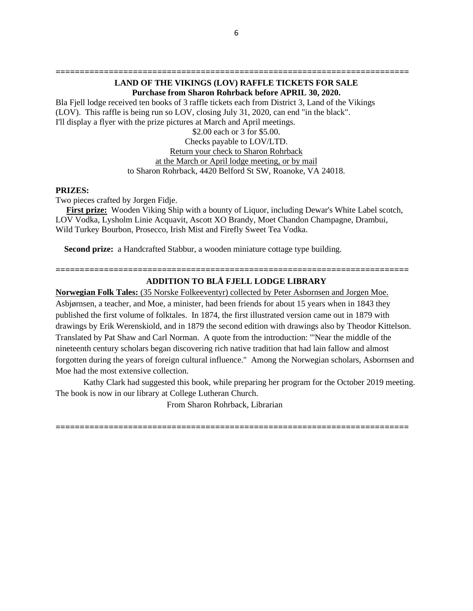### **LAND OF THE VIKINGS (LOV) RAFFLE TICKETS FOR SALE Purchase from Sharon Rohrback before APRIL 30, 2020.**

**=========================================================================**

Bla Fjell lodge received ten books of 3 raffle tickets each from District 3, Land of the Vikings (LOV). This raffle is being run so LOV, closing July 31, 2020, can end "in the black". I'll display a flyer with the prize pictures at March and April meetings.

> \$2.00 each or 3 for \$5.00. Checks payable to LOV/LTD. Return your check to Sharon Rohrback at the March or April lodge meeting, or by mail to Sharon Rohrback, 4420 Belford St SW, Roanoke, VA 24018.

### **PRIZES:**

Two pieces crafted by Jorgen Fidje.

**First prize:** Wooden Viking Ship with a bounty of Liquor, including Dewar's White Label scotch, LOV Vodka, Lysholm Linie Acquavit, Ascott XO Brandy, Moet Chandon Champagne, Drambui, Wild Turkey Bourbon, Prosecco, Irish Mist and Firefly Sweet Tea Vodka.

**Second prize:** a Handcrafted Stabbur, a wooden miniature cottage type building.

# **========================================================================= ADDITION TO BLÅ FJELL LODGE LIBRARY**

**Norwegian Folk Tales:** (35 Norske Folkeeventyr) collected by Peter Asbornsen and Jorgen Moe. Asbjørnsen, a teacher, and Moe, a minister, had been friends for about 15 years when in 1843 they published the first volume of folktales. In 1874, the first illustrated version came out in 1879 with drawings by Erik Werenskiold, and in 1879 the second edition with drawings also by Theodor Kittelson. Translated by Pat Shaw and Carl Norman. A quote from the introduction: "'Near the middle of the nineteenth century scholars began discovering rich native tradition that had lain fallow and almost forgotten during the years of foreign cultural influence." Among the Norwegian scholars, Asbornsen and Moe had the most extensive collection.

Kathy Clark had suggested this book, while preparing her program for the October 2019 meeting. The book is now in our library at College Lutheran Church.

**=========================================================================**

From Sharon Rohrback, Librarian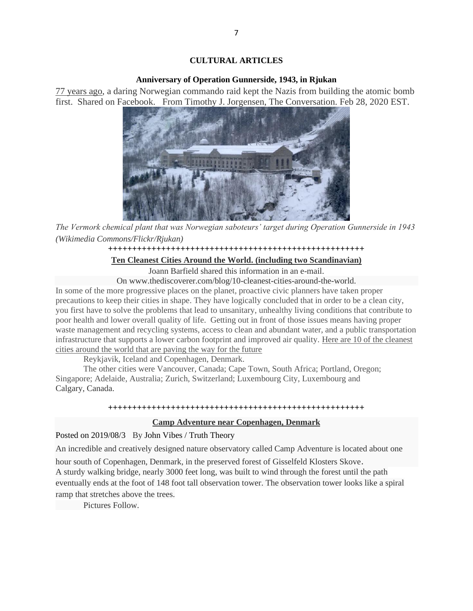### **CULTURAL ARTICLES**

### **Anniversary of Operation Gunnerside, 1943, in Rjukan**

77 years ago, a daring Norwegian commando raid kept the Nazis from building the atomic bomb first. Shared on Facebook. From Timothy J. Jorgensen, The Conversation. Feb 28, 2020 EST.



*The Vermork chemical plant that was Norwegian saboteurs' target during Operation Gunnerside in 1943 (Wikimedia Commons/Flickr/Rjukan)*

### **+++++++++++++++++++++++++++++++++++++++++++++++++++++ Ten Cleanest Cities Around the World. (including two Scandinavian)**

Joann Barfield shared this information in an e-mail.

On www.thediscoverer.com/blog/10-cleanest-cities-around-the-world.

In some of the more progressive places on the planet, proactive civic planners have taken proper precautions to keep their cities in shape. They have logically concluded that in order to be a clean city, you first have to solve the problems that lead to unsanitary, unhealthy living conditions that contribute to poor health and lower overall quality of life. Getting out in front of those issues means having proper waste management and recycling systems, access to clean and abundant water, and a public transportation infrastructure that supports a lower carbon footprint and improved air quality. Here are 10 of the cleanest cities around the world that are paving the way for the future

Reykjavik, Iceland and Copenhagen, Denmark.

The other cities were Vancouver, Canada; Cape Town, South Africa; Portland, Oregon; Singapore; Adelaide, Australia; Zurich, Switzerland; Luxembourg City, Luxembourg and Calgary, Canada.

### **+++++++++++++++++++++++++++++++++++++++++++++++++++++**

### **Camp Adventure near Copenhagen, Denmark**

Posted on 2019/08/3 B[y](https://truththeory.com/author/amelia/) [John Vibes / Truth Theory](https://truththeory.com/author/johnvibes/)

An incredible and creatively designed nature observatory called Camp Adventure is located about one

hour south of Copenhagen, Denmark, in the preserved forest of Gisselfeld Klosters Skove. A sturdy walking bridge, nearly 3000 feet long, was built to wind through the forest until the path eventually ends at the foot of 148 foot tall observation tower. The observation tower looks like a spiral ramp that stretches above the trees.

Pictures Follow.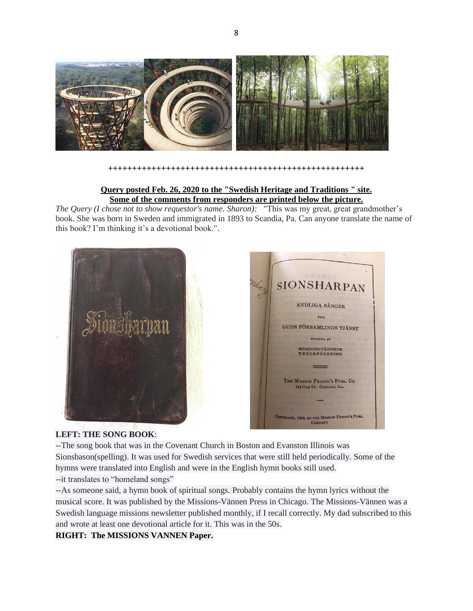

#### **+++++++++++++++++++++++++++++++++++++++++++++++++++++**

### **Query posted Feb. 26, 2020 to the "Swedish Heritage and Traditions " site. Some of the comments from responders are printed below the picture.**

*The Query (I chose not to show requestor's name. Sharon):* "This was my great, great grandmother's book. She was born in Sweden and immigrated in 1893 to Scandia, Pa. Can anyone translate the name of this book? I'm thinking it's a devotional book."[.](https://www.facebook.com/photo.php?fbid=3317646221585804&set=pcb.807734786391630&type=3&__tn__=HH-R&eid=ARBp9Pqd0VBs5hUenuI_kZ2kZk0yj7SEnBvmDTb_EmC3FnCQowEAHd8tVM9MHiq0wEHNJjEFF7pezzGZ)



#### **LEFT: THE SONG BOOK**:

--The song book that was in the Covenant Church in Boston and Evanston Illinois was Sionsbason(spelling). It was used for Swedish services that were still held periodically. Some of the hymns were translated into English and were in the English hymn books still used. --it translates to "homeland songs"

--As someone said, a hymn book of spiritual songs. Probably contains the hymn lyrics without the musical score. It was published by the Missions-Vännen Press in Chicago. The Missions-Vännen was a Swedish language missions newsletter published monthly, if I recall correctly. My dad subscribed to this and wrote at least one devotional article for it. This was in the 50s.

#### **RIGHT: The MISSIONS VANNEN Paper.**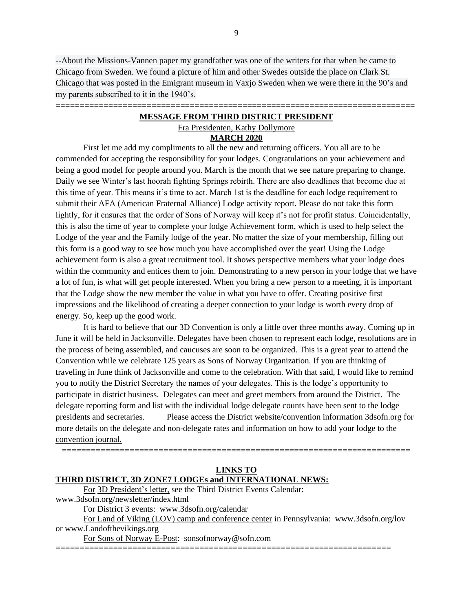**--**About the Missions-Vannen paper my grandfather was one of the writers for that when he came to Chicago from Sweden. We found a picture of him and other Swedes outside the place on Clark St. Chicago that was posted in the Emigrant museum in Vaxjo Sweden when we were there in the 90's and my parents subscribed to it in the 1940's.

### **MESSAGE FROM THIRD DISTRICT PRESIDENT** Fra Presidenten, Kathy Dollymore **MARCH 2020**

===========================================================================

First let me add my compliments to all the new and returning officers. You all are to be commended for accepting the responsibility for your lodges. Congratulations on your achievement and being a good model for people around you. March is the month that we see nature preparing to change. Daily we see Winter's last hoorah fighting Springs rebirth. There are also deadlines that become due at this time of year. This means it's time to act. March 1st is the deadline for each lodge requirement to submit their AFA (American Fraternal Alliance) Lodge activity report. Please do not take this form lightly, for it ensures that the order of Sons of Norway will keep it's not for profit status. Coincidentally, this is also the time of year to complete your lodge Achievement form, which is used to help select the Lodge of the year and the Family lodge of the year. No matter the size of your membership, filling out this form is a good way to see how much you have accomplished over the year! Using the Lodge achievement form is also a great recruitment tool. It shows perspective members what your lodge does within the community and entices them to join. Demonstrating to a new person in your lodge that we have a lot of fun, is what will get people interested. When you bring a new person to a meeting, it is important that the Lodge show the new member the value in what you have to offer. Creating positive first impressions and the likelihood of creating a deeper connection to your lodge is worth every drop of energy. So, keep up the good work.

It is hard to believe that our 3D Convention is only a little over three months away. Coming up in June it will be held in Jacksonville. Delegates have been chosen to represent each lodge, resolutions are in the process of being assembled, and caucuses are soon to be organized. This is a great year to attend the Convention while we celebrate 125 years as Sons of Norway Organization. If you are thinking of traveling in June think of Jacksonville and come to the celebration. With that said, I would like to remind you to notify the District Secretary the names of your delegates. This is the lodge's opportunity to participate in district business. Delegates can meet and greet members from around the District. The delegate reporting form and list with the individual lodge delegate counts have been sent to the lodge presidents and secretaries. Please access the District website/convention information 3dsofn.org for more details on the delegate and non-delegate rates and information on how to add your lodge to the convention journal.

### **LINKS TO**

**========================================================================**

## **THIRD DISTRICT, 3D ZONE7 LODGEs and INTERNATIONAL NEWS:**

For 3D President's letter, see the Third District Events Calendar: www.3dsofn.org/newsletter/index.html

For District 3 events: www.3dsofn.org/calendar

For Land of Viking (LOV) camp and conference center in Pennsylvania: www.3dsofn.org/lov or www.Landofthevikings.org

======================================================================

For Sons of Norway E-Post: sonsofnorway@sofn.com